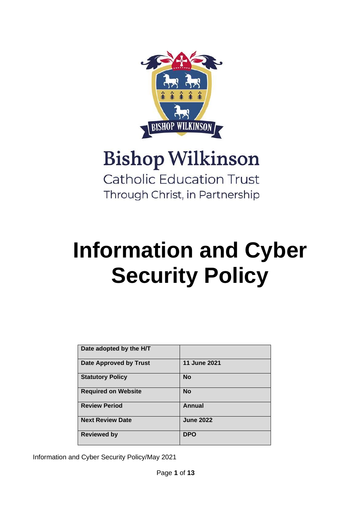

# **Bishop Wilkinson Catholic Education Trust**

Through Christ, in Partnership

# **Information and Cyber Security Policy**

| Date adopted by the H/T       |                  |
|-------------------------------|------------------|
| <b>Date Approved by Trust</b> | 11 June 2021     |
| <b>Statutory Policy</b>       | <b>No</b>        |
| <b>Required on Website</b>    | <b>No</b>        |
| <b>Review Period</b>          | <b>Annual</b>    |
| <b>Next Review Date</b>       | <b>June 2022</b> |
| <b>Reviewed by</b>            | <b>DPO</b>       |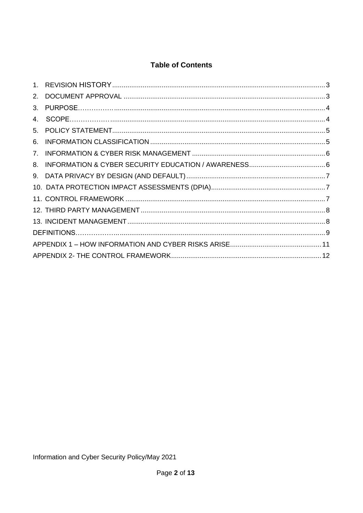# **Table of Contents**

| 3. |  |
|----|--|
| 4. |  |
|    |  |
| 6. |  |
| 7. |  |
| 8. |  |
|    |  |
|    |  |
|    |  |
|    |  |
|    |  |
|    |  |
|    |  |
|    |  |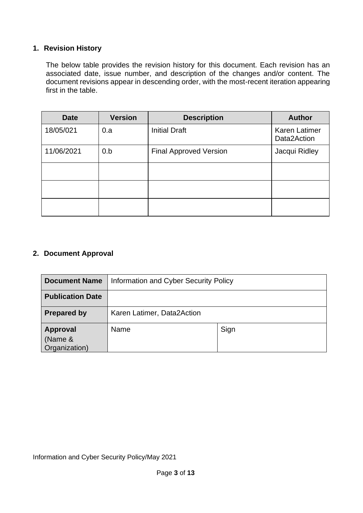# <span id="page-2-0"></span>**1. Revision History**

The below table provides the revision history for this document. Each revision has an associated date, issue number, and description of the changes and/or content. The document revisions appear in descending order, with the most-recent iteration appearing first in the table.

| <b>Date</b> | <b>Version</b> | <b>Description</b>            | <b>Author</b>                |
|-------------|----------------|-------------------------------|------------------------------|
| 18/05/021   | 0.a            | <b>Initial Draft</b>          | Karen Latimer<br>Data2Action |
| 11/06/2021  | 0.b            | <b>Final Approved Version</b> | Jacqui Ridley                |
|             |                |                               |                              |
|             |                |                               |                              |
|             |                |                               |                              |

# <span id="page-2-1"></span>**2. Document Approval**

| <b>Document Name</b>                        | Information and Cyber Security Policy |      |  |
|---------------------------------------------|---------------------------------------|------|--|
| <b>Publication Date</b>                     |                                       |      |  |
| <b>Prepared by</b>                          | Karen Latimer, Data2Action            |      |  |
| <b>Approval</b><br>(Name &<br>Organization) | Name                                  | Sign |  |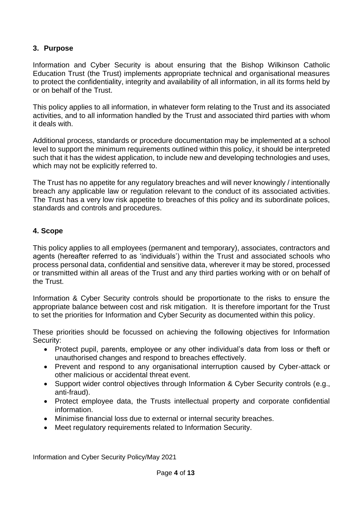# <span id="page-3-0"></span>**3. Purpose**

Information and Cyber Security is about ensuring that the Bishop Wilkinson Catholic Education Trust (the Trust) implements appropriate technical and organisational measures to protect the confidentiality, integrity and availability of all information, in all its forms held by or on behalf of the Trust.

This policy applies to all information, in whatever form relating to the Trust and its associated activities, and to all information handled by the Trust and associated third parties with whom it deals with.

Additional process, standards or procedure documentation may be implemented at a school level to support the minimum requirements outlined within this policy, it should be interpreted such that it has the widest application, to include new and developing technologies and uses, which may not be explicitly referred to.

The Trust has no appetite for any regulatory breaches and will never knowingly / intentionally breach any applicable law or regulation relevant to the conduct of its associated activities. The Trust has a very low risk appetite to breaches of this policy and its subordinate polices, standards and controls and procedures.

# <span id="page-3-1"></span>**4. Scope**

This policy applies to all employees (permanent and temporary), associates, contractors and agents (hereafter referred to as 'individuals') within the Trust and associated schools who process personal data, confidential and sensitive data, wherever it may be stored, processed or transmitted within all areas of the Trust and any third parties working with or on behalf of the Trust.

Information & Cyber Security controls should be proportionate to the risks to ensure the appropriate balance between cost and risk mitigation. It is therefore important for the Trust to set the priorities for Information and Cyber Security as documented within this policy.

These priorities should be focussed on achieving the following objectives for Information Security:

- Protect pupil, parents, employee or any other individual's data from loss or theft or unauthorised changes and respond to breaches effectively.
- Prevent and respond to any organisational interruption caused by Cyber-attack or other malicious or accidental threat event.
- Support wider control objectives through Information & Cyber Security controls (e.g., anti-fraud).
- Protect employee data, the Trusts intellectual property and corporate confidential information.
- Minimise financial loss due to external or internal security breaches.
- Meet regulatory requirements related to Information Security.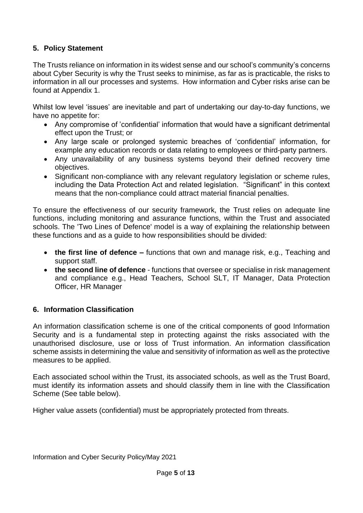# <span id="page-4-0"></span>**5. Policy Statement**

The Trusts reliance on information in its widest sense and our school's community's concerns about Cyber Security is why the Trust seeks to minimise, as far as is practicable, the risks to information in all our processes and systems. How information and Cyber risks arise can be found at Appendix 1.

Whilst low level 'issues' are inevitable and part of undertaking our day-to-day functions, we have no appetite for:

- Any compromise of 'confidential' information that would have a significant detrimental effect upon the Trust; or
- Any large scale or prolonged systemic breaches of 'confidential' information, for example any education records or data relating to employees or third-party partners.
- Any unavailability of any business systems beyond their defined recovery time objectives.
- Significant non-compliance with any relevant regulatory legislation or scheme rules, including the Data Protection Act and related legislation. "Significant" in this context means that the non-compliance could attract material financial penalties.

To ensure the effectiveness of our security framework, the Trust relies on adequate line functions, including monitoring and assurance functions, within the Trust and associated schools. The 'Two Lines of Defence' model is a way of explaining the relationship between these functions and as a guide to how responsibilities should be divided:

- **the first line of defence –** functions that own and manage risk, e.g., Teaching and support staff.
- **the second line of defence** functions that oversee or specialise in risk management and compliance e.g., Head Teachers, School SLT, IT Manager, Data Protection Officer, HR Manager

# <span id="page-4-1"></span>**6. Information Classification**

An information classification scheme is one of the critical components of good Information Security and is a fundamental step in protecting against the risks associated with the unauthorised disclosure, use or loss of Trust information. An information classification scheme assists in determining the value and sensitivity of information as well as the protective measures to be applied.

Each associated school within the Trust, its associated schools, as well as the Trust Board, must identify its information assets and should classify them in line with the Classification Scheme (See table below).

Higher value assets (confidential) must be appropriately protected from threats.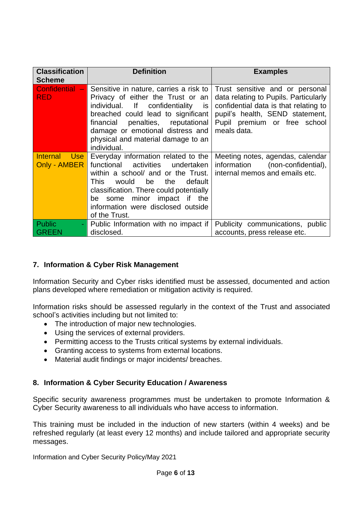| <b>Classification</b><br><b>Scheme</b> | <b>Definition</b>                                                                                                                                                                                                                                                                              | <b>Examples</b>                                                                                                                                                                                     |
|----------------------------------------|------------------------------------------------------------------------------------------------------------------------------------------------------------------------------------------------------------------------------------------------------------------------------------------------|-----------------------------------------------------------------------------------------------------------------------------------------------------------------------------------------------------|
| Confidential -<br><b>RED</b>           | Sensitive in nature, carries a risk to<br>Privacy of either the Trust or an<br>individual. If confidentiality<br><b>is</b><br>breached could lead to significant<br>financial penalties, reputational<br>damage or emotional distress and<br>physical and material damage to an<br>individual. | Trust sensitive and or personal<br>data relating to Pupils. Particularly<br>confidential data is that relating to<br>pupil's health, SEND statement,<br>Pupil premium or free school<br>meals data. |
| Internal Use<br>Only - AMBER           | Everyday information related to the<br>functional activities<br>undertaken<br>within a school/ and or the Trust.<br>the<br>This .<br>would<br>default<br>be<br>classification. There could potentially<br>be some minor impact if the<br>information were disclosed outside<br>of the Trust.   | Meeting notes, agendas, calendar<br>information<br>(non-confidential),<br>internal memos and emails etc.                                                                                            |
| <b>Public</b><br>$\blacksquare$        | Public Information with no impact if                                                                                                                                                                                                                                                           | Publicity communications, public                                                                                                                                                                    |
| <b>GREEN</b>                           | disclosed.                                                                                                                                                                                                                                                                                     | accounts, press release etc.                                                                                                                                                                        |

# <span id="page-5-0"></span>**7. Information & Cyber Risk Management**

Information Security and Cyber risks identified must be assessed, documented and action plans developed where remediation or mitigation activity is required.

Information risks should be assessed regularly in the context of the Trust and associated school's activities including but not limited to:

- The introduction of major new technologies.
- Using the services of external providers.
- Permitting access to the Trusts critical systems by external individuals.
- Granting access to systems from external locations.
- <span id="page-5-1"></span>• Material audit findings or major incidents/ breaches.

# **8. Information & Cyber Security Education / Awareness**

Specific security awareness programmes must be undertaken to promote Information & Cyber Security awareness to all individuals who have access to information.

This training must be included in the induction of new starters (within 4 weeks) and be refreshed regularly (at least every 12 months) and include tailored and appropriate security messages.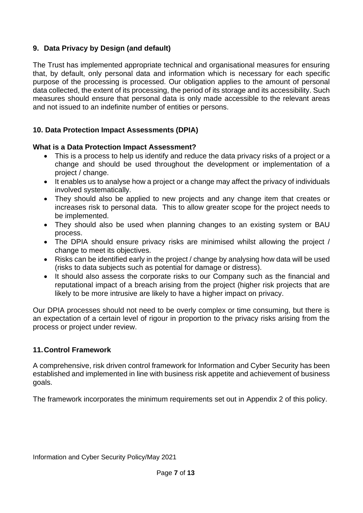# <span id="page-6-0"></span>**9. Data Privacy by Design (and default)**

The Trust has implemented appropriate technical and organisational measures for ensuring that, by default, only personal data and information which is necessary for each specific purpose of the processing is processed. Our obligation applies to the amount of personal data collected, the extent of its processing, the period of its storage and its accessibility. Such measures should ensure that personal data is only made accessible to the relevant areas and not issued to an indefinite number of entities or persons.

# <span id="page-6-1"></span>**10. Data Protection Impact Assessments (DPIA)**

#### **What is a Data Protection Impact Assessment?**

- This is a process to help us identify and reduce the data privacy risks of a project or a change and should be used throughout the development or implementation of a project / change.
- It enables us to analyse how a project or a change may affect the privacy of individuals involved systematically.
- They should also be applied to new projects and any change item that creates or increases risk to personal data. This to allow greater scope for the project needs to be implemented.
- They should also be used when planning changes to an existing system or BAU process.
- The DPIA should ensure privacy risks are minimised whilst allowing the project / change to meet its objectives.
- Risks can be identified early in the project / change by analysing how data will be used (risks to data subjects such as potential for damage or distress).
- It should also assess the corporate risks to our Company such as the financial and reputational impact of a breach arising from the project (higher risk projects that are likely to be more intrusive are likely to have a higher impact on privacy.

Our DPIA processes should not need to be overly complex or time consuming, but there is an expectation of a certain level of rigour in proportion to the privacy risks arising from the process or project under review.

# <span id="page-6-2"></span>**11.Control Framework**

A comprehensive, risk driven control framework for Information and Cyber Security has been established and implemented in line with business risk appetite and achievement of business goals.

The framework incorporates the minimum requirements set out in Appendix 2 of this policy.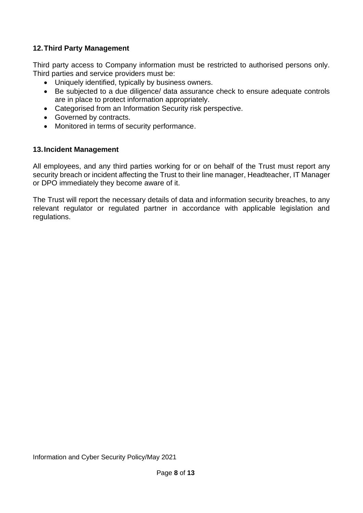# <span id="page-7-0"></span>**12.Third Party Management**

Third party access to Company information must be restricted to authorised persons only. Third parties and service providers must be:

- Uniquely identified, typically by business owners.
- Be subjected to a due diligence/ data assurance check to ensure adequate controls are in place to protect information appropriately.
- Categorised from an Information Security risk perspective.
- Governed by contracts.
- Monitored in terms of security performance.

# <span id="page-7-1"></span>**13.Incident Management**

All employees, and any third parties working for or on behalf of the Trust must report any security breach or incident affecting the Trust to their line manager, Headteacher, IT Manager or DPO immediately they become aware of it.

The Trust will report the necessary details of data and information security breaches, to any relevant regulator or regulated partner in accordance with applicable legislation and regulations.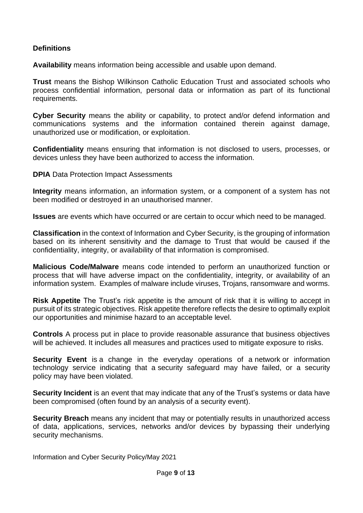#### <span id="page-8-0"></span>**Definitions**

**Availability** means information being accessible and usable upon demand.

**Trust** means the Bishop Wilkinson Catholic Education Trust and associated schools who process confidential information, personal data or information as part of its functional requirements.

**Cyber Security** means the ability or capability, to protect and/or defend information and communications systems and the information contained therein against damage, unauthorized use or modification, or exploitation.

**Confidentiality** means ensuring that information is not disclosed to users, processes, or devices unless they have been authorized to access the information.

**DPIA Data Protection Impact Assessments** 

**Integrity** means information, an information system, or a component of a system has not been modified or destroyed in an unauthorised manner.

**Issues** are events which have occurred or are certain to occur which need to be managed.

**Classification** in the context of Information and Cyber Security, is the grouping of information based on its inherent sensitivity and the damage to Trust that would be caused if the confidentiality, integrity, or availability of that information is compromised.

**Malicious Code/Malware** means code intended to perform an unauthorized function or process that will have adverse impact on the confidentiality, integrity, or availability of an information system. Examples of malware include viruses, Trojans, ransomware and worms.

**Risk Appetite** The Trust's risk appetite is the amount of risk that it is willing to accept in pursuit of its strategic objectives. Risk appetite therefore reflects the desire to optimally exploit our opportunities and minimise hazard to an acceptable level.

**Controls** A process put in place to provide reasonable assurance that business objectives will be achieved. It includes all measures and practices used to mitigate exposure to risks.

**Security Event** is a change in the everyday operations of a network or information technology service indicating that a security safeguard may have failed, or a security policy may have been violated.

**Security Incident** is an event that may indicate that any of the Trust's systems or data have been compromised (often found by an analysis of a security event).

**Security Breach** means any incident that may or potentially results in unauthorized access of data, applications, services, networks and/or devices by bypassing their underlying security mechanisms.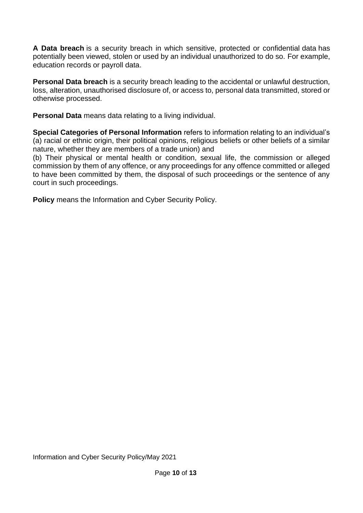**A Data breach** is a security breach in which sensitive, protected or confidential data has potentially been viewed, stolen or used by an individual unauthorized to do so. For example, education records or payroll data.

**Personal Data breach** is a security breach leading to the accidental or unlawful destruction, loss, alteration, unauthorised disclosure of, or access to, personal data transmitted, stored or otherwise processed.

**Personal Data** means data relating to a living individual.

**Special Categories of Personal Information** refers to information relating to an individual's (a) racial or ethnic origin, their political opinions, religious beliefs or other beliefs of a similar nature, whether they are members of a trade union) and

(b) Their physical or mental health or condition, sexual life, the commission or alleged commission by them of any offence, or any proceedings for any offence committed or alleged to have been committed by them, the disposal of such proceedings or the sentence of any court in such proceedings.

**Policy** means the Information and Cyber Security Policy.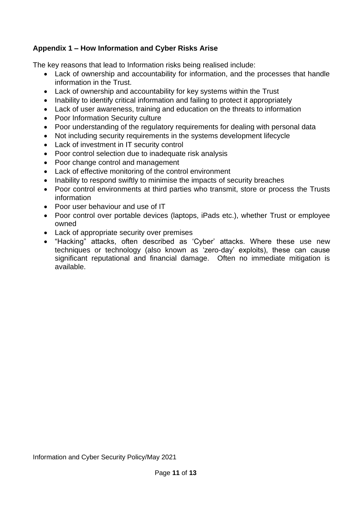# <span id="page-10-0"></span>**Appendix 1 – How Information and Cyber Risks Arise**

The key reasons that lead to Information risks being realised include:

- Lack of ownership and accountability for information, and the processes that handle information in the Trust.
- Lack of ownership and accountability for key systems within the Trust
- Inability to identify critical information and failing to protect it appropriately
- Lack of user awareness, training and education on the threats to information
- Poor Information Security culture
- Poor understanding of the regulatory requirements for dealing with personal data
- Not including security requirements in the systems development lifecycle
- Lack of investment in IT security control
- Poor control selection due to inadequate risk analysis
- Poor change control and management
- Lack of effective monitoring of the control environment
- Inability to respond swiftly to minimise the impacts of security breaches
- Poor control environments at third parties who transmit, store or process the Trusts information
- Poor user behaviour and use of IT
- Poor control over portable devices (laptops, iPads etc.), whether Trust or employee owned
- Lack of appropriate security over premises
- "Hacking" attacks, often described as 'Cyber' attacks. Where these use new techniques or technology (also known as 'zero-day' exploits), these can cause significant reputational and financial damage. Often no immediate mitigation is available.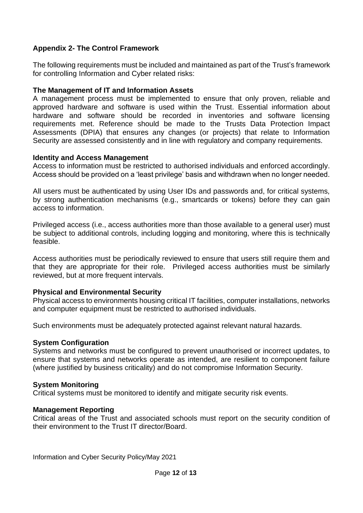# <span id="page-11-0"></span>**Appendix 2- The Control Framework**

The following requirements must be included and maintained as part of the Trust's framework for controlling Information and Cyber related risks:

#### **The Management of IT and Information Assets**

A management process must be implemented to ensure that only proven, reliable and approved hardware and software is used within the Trust. Essential information about hardware and software should be recorded in inventories and software licensing requirements met. Reference should be made to the Trusts Data Protection Impact Assessments (DPIA) that ensures any changes (or projects) that relate to Information Security are assessed consistently and in line with regulatory and company requirements.

#### **Identity and Access Management**

Access to information must be restricted to authorised individuals and enforced accordingly. Access should be provided on a 'least privilege' basis and withdrawn when no longer needed.

All users must be authenticated by using User IDs and passwords and, for critical systems, by strong authentication mechanisms (e.g., smartcards or tokens) before they can gain access to information.

Privileged access (i.e., access authorities more than those available to a general user) must be subject to additional controls, including logging and monitoring, where this is technically feasible.

Access authorities must be periodically reviewed to ensure that users still require them and that they are appropriate for their role. Privileged access authorities must be similarly reviewed, but at more frequent intervals.

# **Physical and Environmental Security**

Physical access to environments housing critical IT facilities, computer installations, networks and computer equipment must be restricted to authorised individuals.

Such environments must be adequately protected against relevant natural hazards.

#### **System Configuration**

Systems and networks must be configured to prevent unauthorised or incorrect updates, to ensure that systems and networks operate as intended, are resilient to component failure (where justified by business criticality) and do not compromise Information Security.

#### **System Monitoring**

Critical systems must be monitored to identify and mitigate security risk events.

#### **Management Reporting**

Critical areas of the Trust and associated schools must report on the security condition of their environment to the Trust IT director/Board.